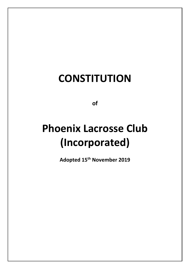## **CONSTITUTION**

**of**

# **Phoenix Lacrosse Club (Incorporated)**

**Adopted 15th November 2019**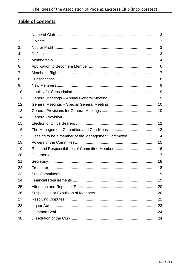### **Table of Contents**

| 1.  |                                                      |  |
|-----|------------------------------------------------------|--|
| 2.  |                                                      |  |
| 3.  |                                                      |  |
| 4.  |                                                      |  |
| 5.  |                                                      |  |
| 6.  |                                                      |  |
| 7.  |                                                      |  |
| 8.  |                                                      |  |
| 9.  |                                                      |  |
| 10. |                                                      |  |
| 11. |                                                      |  |
| 12. |                                                      |  |
| 13. |                                                      |  |
| 14. |                                                      |  |
| 15. |                                                      |  |
| 16. |                                                      |  |
| 17. | Ceasing to be a member of the Management Committee14 |  |
| 18. |                                                      |  |
| 19. |                                                      |  |
| 20. |                                                      |  |
| 21. |                                                      |  |
| 22. |                                                      |  |
| 23. |                                                      |  |
| 24. |                                                      |  |
| 25. |                                                      |  |
| 26. |                                                      |  |
| 27. |                                                      |  |
| 28. |                                                      |  |
| 29. |                                                      |  |
| 30. |                                                      |  |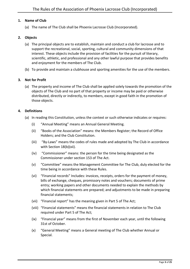#### <span id="page-2-0"></span>**1. Name of Club**

(a) The name of The Club shall be Phoenix Lacrosse Club (Incorporated).

#### <span id="page-2-1"></span>**2. Objects**

- (a) The principal objects are to establish, maintain and conduct a club for lacrosse and to support the recreational, social, sporting, cultural and community dimensions of that interest. These objects include the provision of facilities for the pursuit of literary, scientific, athletic, and professional and any other lawful purpose that provides benefits and enjoyment for the members of The Club.
- (b) To provide and maintain a clubhouse and sporting amenities for the use of the members.

#### <span id="page-2-2"></span>**3. Not for Profit**

(a) The property and income of The Club shall be applied solely towards the promotion of the objects of The Club and no part of that property or income may be paid or otherwise distributed, directly or indirectly, to members, except in good faith in the promotion of those objects.

#### <span id="page-2-3"></span>**4. Definitions**

- (a) In reading this Constitution, unless the context or such otherwise indicates or requires:
	- (i) "Annual Meeting" means an Annual General Meeting.
	- (ii) "Books of the Association" means: the Members Register; the Record of Office Holders; and the Club Constitution.
	- (iii) "By-Laws" means the codes of rules made and adopted by The Club in accordance with Section [18\(b\)\(xii\).](#page-15-1)
	- (iv) "Commissioner" means: the person for the time being designated as the Commissioner under section 153 of The Act.
	- (v) "Committee" means the Management Committee for The Club, duly elected for the time being in accordance with these Rules.
	- (vi) "Financial records" Includes: invoices, receipts, orders for the payment of money, bills of exchange, cheques, promissory notes and vouchers; documents of prime entry; working papers and other documents needed to explain the methods by which financial statements are prepared; and adjustments to be made in preparing financial statements;
	- (vii) "Financial report" has the meaning given in Part 5 of The Act;
	- (viii) "Financial statements" means the financial statements in relation to The Club required under Part 5 of The Act;
	- (ix) "Financial year" means from the first of November each year, until the following 31st of October.
	- (x) "General Meeting" means a General meeting of The Club whether Annual or Special.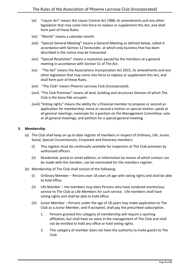- (xi) "Liquor Act" means the Liquor Control Act 1988, its amendments and any other legislation that may come into force to replace or supplement this Act, and shall form part of these Rules.
- (xii) "Month" means a calendar month.
- (xiii) "Special General Meeting" means a General Meeting as defined below, called in accordance with Section [12](#page-9-0) hereunder, at which only business that has been described in the notice may be transacted.
- (xiv) "Special Resolution" means a resolution passed by the members at a general meeting in accordance with Section 51 of The Act.
- (xv) "The Act" means the Associations Incorporation Act 2015, its amendments and any other legislation that may come into force to replace or supplement this Act, and shall form part of these Rules.
- (xvi) "The Club" means Phoenix Lacrosse Club (Incorporated).
- (xvii) "The Club Premises" means all land, building and structures thereon of which The Club is the bona fide occupier.
- (xviii) "Voting rights" means the ability for a financial member to propose or second an application for membership; move or second a motion or special motion; speak at all general meetings; nominate for a position on the Management Committee; vote at all general meetings; and petition for a special general meeting.

#### <span id="page-3-0"></span>**5. Membership**

- (a) The Club shall keep an up to date register of members in respect of Ordinary, Life, Junior, Social, Special Circumstances, Corporate and Honorary members.
	- (i) This register must be continually available for inspection at The Club premises by authorised officers.
	- (ii) Residential, postal or email address; or information by means of which contact can be made with the member, can be nominated for the members register.
- (b) Membership of The Club shall consist of the following:
	- (i) Ordinary Member Persons over 18 years of age with voting rights and shall be able to hold office.
	- (ii) Life Member the members may elect Persons who have rendered meritorious service to The Club as Life Members for such service. Life members shall have voting rights and shall be able to hold office.
	- (iii) Junior Member Persons under the age of 18 years may make application to The Club as a Junior Member, and if accepted, shall pay the prescribed subscription.
		- 1. Persons granted this category of membership will require a sporting affiliation, but shall have no voice in the management of The Club and shall not be entitled to hold any office or hold voting rights.
		- 2. This category of member does not have the authority to invite guests to The Club.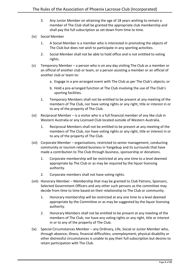- 3. Any Junior Member on attaining the age of 18 years wishing to remain a member of The Club shall be granted the appropriate club membership and shall pay the full subscription as set down from time to time.
- (iv) Social Member
	- 1. A Social Member is a member who is interested in promoting the objects of The Club but does not wish to participate in any sporting activities.
	- 2. Social Member shall not be able to hold office and is not entitled to voting rights.
- (v) Temporary Member a person who is on any day visiting The Club as a member or an official of another club or team, or a person assisting a member or an official of another club or team to:
	- a. Engage in a pre-arranged event with The Club as per The Club's objects; or
	- b. Hold a pre-arranged function at The Club involving the use of The Club's sporting facilities.
	- 1. Temporary Members shall not be entitled to be present at any meeting of the members of The Club, nor have voting rights or any right, title or interest in or to any of the property of The Club.
- (vi) Reciprocal Member is a visitor who is a full financial member of any like club in Western Australia or any Licensed Club located outside of Western Australia.
	- 1. Reciprocal Members shall not be entitled to be present at any meeting of the members of The Club, nor have voting rights or any right, title or interest in or to any of the property of The Club.
- (vii) Corporate Member organisations, restricted to senior management, conducting community or tourism related business in Yangebup and its surrounds that have made a contribution to The Club through business, sponsorship or donations.
	- 1. Corporate membership will be restricted at any one time to a level deemed appropriate by The Club or as may be required by the liquor licensing authority.
	- 2. Corporate members shall not have voting rights.
- (viii) Honorary Member Membership that may be granted to Club Patrons, Sponsors, Selected Government Officers and any other such persons as the committee may decide from time to time based on their relationship to The Club or community.
	- 1. Honorary membership will be restricted at any one time to a level deemed appropriate by the Committee or as may be suggested by the liquor licensing authority.
	- 2. Honorary Members shall not be entitled to be present at any meeting of the members of The Club, nor have any voting rights or any right, title or interest in or to any of the property of The Club.
- <span id="page-4-0"></span>(ix) Special Circumstances Member – any Ordinary, Life, Social or Junior Member who, through absence; illness; financial difficulties; unemployment; physical disability or other distressful circumstances is unable to pay their full subscription but desires to retain participation with The Club.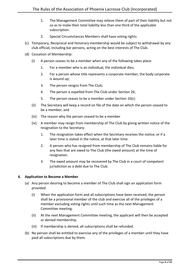- 1. The Management Committee may relieve them of part of their liability but not so as to make their total liability less than one third of the applicable subscription.
- 2. Special Circumstances Members shall have voting rights.
- (c) Temporary, Reciprocal and Honorary membership would be subject to withdrawal by any club official, including bar persons, acting on the best interests of The Club.
- (d) Cessation of Membership:
	- (i) A person ceases to be a member when any of the following takes place:
		- 1. For a member who is an individual, the individual dies;
		- 2. For a person whose title represents a corporate member, the body corporate is wound up;
		- 3. The person resigns from The Club;
		- 4. The person is expelled from The Club under Section [26;](#page-19-1)
		- 5. The person ceases to be a member under Section [10\(c\)](#page-8-3)
	- (ii) The Secretary will keep a record on file of the date on which the person ceased to be a member; and
	- (iii) The reason why the person ceased to be a member
	- (iv) A member may resign from membership of The Club by giving written notice of the resignation to the Secretary:
		- 1. The resignation takes effect when the Secretary receives the notice; or if a later time is stated in the notice, at that later time.
		- 2. A person who has resigned from membership of The Club remains liable for any fees that are owed to The Club (the owed amount) at the time of resignation.
		- 3. The owed amount may be recovered by The Club in a court of competent jurisdiction as a debt due to The Club.

#### <span id="page-5-0"></span>**6. Application to Become a Member**

- (a) Any person desiring to become a member of The Club shall sign an application form provided.
	- (i) When the application form and all subscriptions have been received, the person shall be a provisional member of the club and exercise all of the privileges of a member excluding voting rights until such time as the next Management Committee meeting.
	- (ii) At the next Management Committee meeting, the applicant will then be accepted or denied membership.
	- (iii) If membership is denied, all subscriptions shall be refunded.
- (b) No person shall be entitled to exercise any of the privileges of a member until they have paid all subscriptions due by them.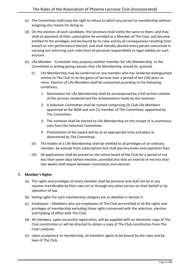- (c) The Committee shall have the right to refuse to admit any person to membership without assigning any reason for doing so.
- (d) On the election of each candidate, the Secretary shall notify the same to them, and they shall on payment of their subscription be enrolled as a Member of The Club, and become entitled to the privileges and be bound by its rules and by all consequences resulting from breach or non-performance thereof, and shall thereby absolve every person concerned in carrying out enforcing such rules from all personal responsibility or legal liability on such account.
- (e) Life Member A member may propose another member for Life Membership to the Committee in writing giving reasons that Life Membership should be granted.
	- (i) Life Membership may be conferred on any member who has rendered distinguished service to The Club or to the game of lacrosse over a period of ten (10) years or more. Election of Life Members shall be conducted according to the following conditions:
		- 1. Nomination for Life Membership shall be accompanied by a full written citation of the services rendered and the achievements made by the nominee.
		- 2. A Selection Committee shall be named comprising (3) Club Life Members appointed at the AGM and one (1) member of The Committee, appointed by The Committee.
		- 3. The nominee shall be elected to Life Membership on the receipt of a unanimous vote from the Selection Committee.
		- 4. Presentation of the award will be at an appropriate time and place as determined by The Committee.
	- (ii) The holder of a Life Membership shall be entitled to all privileges of an ordinary member, be exempt from subscriptions but shall pay any levies and capitation fees.
	- (iii) All applications shall be posted on the notice board of the Club for a period of not less than seven days before election, provided also that an interval of not less than two weeks shall elapse between nomination and election.

#### <span id="page-6-0"></span>**7. Member's Rights**

- (a) The rights and privileges of every member shall be personal and shall not be in any manner transferable by their own act or through any other person on their behalf or by operation of law.
- (b) Voting rights for each membership category are as detailed in Section 5.
- (c) Employees Members who are employees of The Club are entitled to all the rights and privileges of membership excluding those rights concerned with the selection, election and holding of office with The Club.
- (d) All members, upon successful registration, will be supplied with an electronic copy of The Club constitution or will be directed to obtain a copy of The Club constitution from The Club's website.
- (e) Upon acceptance to membership, all members agree to be bound by the rules and bylaws of The Club.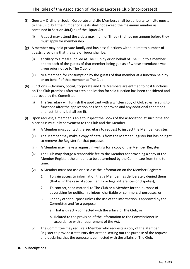- (f) Guests Ordinary, Social, Corporate and Life Members shall be at liberty to invite guests to The Club, but the number of guests shall not exceed the maximum number as contained in Section 48(4)(b) of the Liquor Act.
	- (i) A guest may attend the club a maximum of Three (3) times per annum before they must apply for membership.
- (g) A member may hold private family and business functions without limit to number of guests, providing that the sale of liquor shall be:
	- (i) ancillary to a meal supplied at The Club by or on behalf of The Club to a member and to each of the guests of that member being guests of whose attendance was given prior notice to The Club; or
	- (ii) to a member, for consumption by the guests of that member at a function held by or on behalf of that member at The Club
- (h) Functions Ordinary, Social, Corporate and Life Members are entitled to host functions on The Club premises after written application for said function has been considered and approved by the Committee.
	- (i) The Secretary will furnish the applicant with a written copy of Club rules relating to functions after the application has been approved and any additional conditions and restrictions it shall see fit.
- (i) Upon request, a member is able to inspect the Books of the Association at such time and place as is mutually convenient to the Club and the Member.
	- (i) A Member must contact the Secretary to request to inspect the Member Register.
	- (ii) The Member may make a copy of details from the Member Register but has no right to remove the Register for that purpose.
	- (iii) A Member may make a request in writing for a copy of the Member Register.
	- (iv) The Club may charge a reasonable fee to the Member for providing a copy of the Member Register, the amount to be determined by the Committee from time to time.
	- (v) A Member must not use or disclose the information on the Member Register:
		- 1. To gain access to information that a Member has deliberately denied them (that is, in the case of social, family or legal differences or disputes);
		- 2. To contact, send material to The Club or a Member for the purpose of advertising for political, religious, charitable or commercial purposes, or
		- 3. For any other purpose unless the use of the information is approved by the Committee and for a purpose:
			- a. That is directly connected with the affairs of The Club; or
			- b. Related to the provision of the information to the Commissioner in accordance with a requirement of the Act.
	- (vi) The Committee may require a Member who requests a copy of the Member Register to provide a statutory declaration setting out the purpose of the request and declaring that the purpose is connected with the affairs of The Club.

#### <span id="page-7-0"></span>**8. Subscriptions**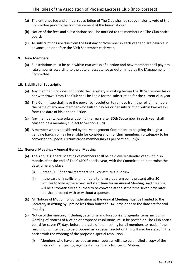- (a) The entrance fee and annual subscription of The Club shall be set by majority vote of the Committee prior to the commencement of the financial year.
- (b) Notice of the fees and subscriptions shall be notified to the members via The Club notice board.
- (c) All subscriptions are due from the first day of November in each year and are payable in advance, on or before the 30th September each year.

#### <span id="page-8-0"></span>**9. New Members**

(a) Subscriptions must be paid within two weeks of election and new members shall pay prorata amounts according to the date of acceptance as determined by the Management Committee.

#### <span id="page-8-1"></span>**10. Liability for Subscription**

- (a) Any member who does not notify the Secretary in writing before the 30 September his or her withdrawal from The Club shall be liable for the subscription for the current club year.
- (b) The Committee shall have the power by resolution to remove from the roll of members the name of any new member who fails to pay his or her subscription within two weeks from the date of his or her election.
- <span id="page-8-3"></span>(c) Any member whose subscription is in arrears after 30th September in each year shall cease to be a member, subject to Section 1[0\(d\).](#page-8-4)
- <span id="page-8-4"></span>(d) A member who is considered by the Management Committee to be going through a genuine hardship may be eligible for consideration for their membership category to be converted to Special Circumstance membership as per Section [5\(b\)\(ix\).](#page-4-0)

#### <span id="page-8-2"></span>**11. General Meetings – Annual General Meeting**

- (a) The Annual General Meeting of members shall be held every calendar year within six months after the end of The Club's financial year, with the Committee to determine the date, time and place.
	- (i) Fifteen (15) financial members shall constitute a quorum.
	- (ii) In the case of insufficient members to form a quorum being present after 30 minutes following the advertised start time for an Annual Meeting, said meeting will be automatically adjourned to re-convene at the same time seven days later and shall proceed with or without a quorum.
- (b) All Notices of Motion for consideration at the Annual Meeting must be handed to the Secretary in writing by 5pm no less than fourteen (14) days prior to the date set for said meeting.
- (c) Notice of the meeting (including date, time and location) and agenda items, including wording of Notices of Motion or proposed resolutions, must be posted on The Club notice board for seven (7) days before the date of the meeting for all members to read. If the resolution is intended to be proposed as a special resolution this will also be stated in the notice with the wording of the proposed special resolution.
	- (i) Members who have provided an email address will also be emailed a copy of the notice of the meeting, agenda items and any Notices of Motion.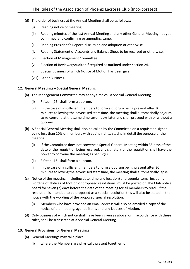- (d) The order of business at the Annual Meeting shall be as follows:
	- (i) Reading notice of meeting.
	- (ii) Reading minutes of the last Annual Meeting and any other General Meeting not yet confirmed and confirming or amending same.
	- (iii) Reading President's Report, discussion and adoption or otherwise.
	- (iv) Reading Statement of Accounts and Balance Sheet to be received or otherwise.
	- (v) Election of Management Committee.
	- (vi) Election of Reviewer/Auditor if required as outlined under section 24.
	- (vii) Special Business of which Notice of Motion has been given.
	- (viii) Other Business.

#### <span id="page-9-0"></span>**12. General Meetings – Special General Meeting**

- (a) The Management Committee may at any time call a Special General Meeting.
	- (i) Fifteen (15) shall form a quorum.
	- (ii) In the case of insufficient members to form a quorum being present after 30 minutes following the advertised start time, the meeting shall automatically adjourn to re-convene at the same time seven days later and shall proceed with or without a quorum.
- (b) A Special General Meeting shall also be called by the Committee on a requisition signed by no less than 20% of members with voting rights, stating in detail the purpose of the meeting.
	- (i) If the Committee does not convene a Special General Meeting within 35 days of the date of the requisition being received, any signatory of the requisition shall have the power to convene the meeting as per 12(c).
	- (ii) Fifteen (15) shall form a quorum.
	- (iii) In the case of insufficient members to form a quorum being present after 30 minutes following the advertised start time, the meeting shall automatically lapse.
- (c) Notice of the meeting (including date, time and location) and agenda items, including wording of Notices of Motion or proposed resolutions, must be posted on The Club notice board for seven (7) days before the date of the meeting for all members to read. If the resolution is intended to be proposed as a special resolution this will also be stated in the notice with the wording of the proposed special resolution.
	- (i) Members who have provided an email address will also be emailed a copy of the notice of the meeting, agenda items and any Notices of Motion.
- (d) Only business of which notice shall have been given as above, or in accordance with these rules, shall be transacted at a Special General Meeting.

#### <span id="page-9-1"></span>**13. General Provisions for General Meetings**

- (a) General Meetings may take place:
	- (i) where the Members are physically present together; or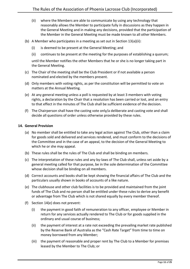- <span id="page-10-1"></span>(ii) where the Members are able to communicate by using any technology that reasonably allows the Member to participate fully in discussions as they happen in the General Meeting and in making any decisions, provided that the participation of the Member in the General Meeting must be made known to all other Members.
- (b) A Member who participates in a meeting as set out in Section 1[3\(a\)\(ii\):](#page-10-1)
	- (i) is deemed to be present at the General Meeting; and
	- (ii) continues to be present at the meeting for the purposes of establishing a quorum;

until the Member notifies the other Members that he or she is no longer taking part in the General Meeting.

- (c) The Chair of the meeting shall be the Club President or if not available a person nominated and elected by the members present.
- (d) Only members with voting rights, as per the constitution will be permitted to vote on matters at the Annual Meeting.
- (e) At any general meeting unless a poll is requested by at least 3 members with voting rights, a declaration by the Chair that a resolution has been carried or lost, and an entry to that effect in the minutes of The Club shall be sufficient evidence of the decision.
- (f) The Chairperson shall have the casting vote only/a deliberate and casting vote and shall decide all questions of order unless otherwise provided by these rules.

#### <span id="page-10-0"></span>**14. General Provision**

- (a) No member shall be entitled to take any legal action against The Club, other than a claim for goods sold and delivered and services rendered, and must conform to the decisions of the Committee and in the case of an appeal, to the decision of the General Meeting to which he or she may appeal.
- (b) These rules shall be the rules of The Club and shall be binding on members.
- (c) The interpretation of these rules and any by-laws of The Club shall, unless set aside by a general meeting called for that purpose, be in the sole determination of the Committee whose decision shall be binding on all members.
- (d) Correct accounts and books shall be kept showing the financial affairs of The Club and the particulars usually shown in books of accounts of a like nature.
- <span id="page-10-2"></span>(e) The clubhouse and other club facilities is to be provided and maintained from the joint funds of The Club and no person shall be entitled under these rules to derive any benefit or advantage from The Club which is not shared equally by every member thereof.
- (f) Section 1[4\(e\)](#page-10-2) does not prevent:
	- (i) the payment in good faith of remuneration to any officer, employee or Member in return for any services actually rendered to The Club or for goods supplied in the ordinary and usual course of business;
	- (ii) the payment of interest at a rate not exceeding the prevailing market rate published by the Reserve Bank of Australia as the "Cash Rate Target" from time to time on money borrowed from any Member;
	- (iii) the payment of reasonable and proper rent by The Club to a Member for premises leased by the Member to The Club; or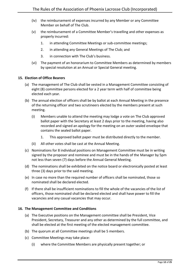- (iv) the reimbursement of expenses incurred by any Member or any Committee Member on behalf of The Club.
- (v) the reimbursement of a Committee Member's travelling and other expenses as properly incurred:
	- 1. in attending Committee Meetings or sub-committee meetings;
	- 2. in attending any General Meetings of The Club; and
	- 3. in connection with The Club's business.
- (vi) The payment of an honorarium to Committee Members as determined by members by special resolution at an Annual or Special General meeting.

#### <span id="page-11-0"></span>**15. Election of Office Bearers**

- (a) The management of The Club shall be vested in a Management Committee consisting of eight (8) committee persons elected for a 2 year term with half of committee being elected each year.
- (b) The annual election of officers shall be by ballot at each Annual Meeting in the presence of the returning officer and two scrutineers elected by the members present at such meeting.
	- (i) Members unable to attend the meeting may lodge a vote on The Club approved ballot paper with the Secretary at least 2 days prior to the meeting, having also recorded and signed an apology for the meeting on an outer sealed envelope that contains the sealed ballot paper.
		- 1. This approved ballot paper must be distributed directly to the member.
	- (ii) All other votes shall be cast at the Annual Meeting.
- (c) Nominations for 8 individual positions on Management Committee must be in writing signed by the proposer and nominee and must be in the hands of the Manager by 5pm not less than seven (7) days before the Annual General Meeting.
- (d) The nominations shall be exhibited on the notice board or electronically posted at least three (3) days prior to the said meeting.
- (e) In case no more than the required number of officers shall be nominated, those so nominated shall be declared elected.
- (f) If there shall be insufficient nominations to fill the whole of the vacancies of the list of officers, those nominated shall be declared elected and shall have power to fill the vacancies and any casual vacancies that may occur.

#### <span id="page-11-1"></span>**16. The Management Committee and Conditions**

- (a) The Executive positions on the Management committee shall be President, Vice President, Secretary, Treasurer and any other as determined by the full committee, and shall be elected at the first meeting of the elected management committee.
- (b) The quorum at all Committee meetings shall be 5 members.
- (c) Committee Meetings may take place:
	- (i) where the Committee Members are physically present together; or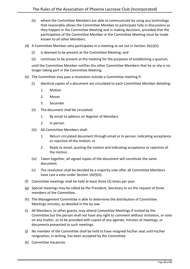- <span id="page-12-0"></span>(ii) where the Committee Members are able to communicate by using any technology that reasonably allows the Committee Member to participate fully in discussions as they happen in the Committee Meeting and in making decisions, provided that the participation of the Committee Member in the Committee Meeting must be made known to all other Members.
- (d) A Committee Member who participates in a meeting as set out in Section  $16(c)(ii)$ :
	- (i) is deemed to be present at the Committee Meeting; and
	- (ii) continues to be present at the meeting for the purposes of establishing a quorum,

until the Committee Member notifies the other Committee Members that he or she is no longer taking part in the Committee Meeting.

- (e) The Committee may pass a resolution outside a Committee meeting if:
	- (i) Identical copies of a document are circulated to each Committee Member detailing:
		- 1. Motion
		- 2. Mover
		- 3. Seconder
	- (ii) The document shall be circulated:
		- 1. By email to address on Register of Members
		- 2. In person
	- (iii) All Committee Members shall:
		- 1. Return circulated document through email or in person, indicating acceptance or rejection of the motion; or
		- 2. Reply to email, quoting the motion and indicating acceptance or rejection of the motion.
	- (iv) Taken together, all signed copies of the document will constitute the same document.
	- (v) The resolution shall be decided by a majority vote after all Committee Members have cast a vote under Section 16(f)(iii).
- (f) Committee meetings shall be held at least three (3) times per year.
- <span id="page-12-2"></span>(g) Special meetings may be called by the President, Secretary or on the request of three members of the Committee.
- (h) The Management Committee is able to determine the distribution of Committee Meetings minutes, as detailed in the by-law.
- (i) All Members, or other guests, may attend Committee Meetings if invited by the Committee but the person shall not have any right to comment without invitation, or vote on any matter, or to be provided with copies of any agenda, minutes of meetings, or documents presented to such meetings.
- <span id="page-12-1"></span>(j) No member of the Committee shall be held to have resigned his/her seat until his/her resignation, in writing, has been accepted by the Committee.
- (k) Committee Vacancies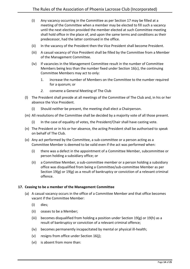- (i) Any vacancy occurring in the Committee as per Section 17 may be filled at a meeting of the Committee when a member may be elected to fill such a vacancy until the next election provided the member elected at such Committee meeting shall hold office in the place of, and upon the same terms and conditions as their predecessor, had the latter continued in the office.
- (ii) In the vacancy of the President then the Vice President shall become President.
- (iii) A casual vacancy of Vice President shall be filled by the Committee from a Member of the Management Committee.
- (iv) If vacancies in the Management Committee result in the number of Committee Members being less than the number fixed under Section 16(c), the continuing Committee Members may act to only:
	- 1. increase the number of Members on the Committee to the number required for a quorum; or
	- *2.* convene a General Meeting of The Club
- <span id="page-13-1"></span>(l) The President shall preside at all meetings of the Committee of The Club and, in his or her absence the Vice President.
	- (i) Should neither be present, the meeting shall elect a Chairperson.
- (m) All resolutions of the Committee shall be decided by a majority vote of all those present.
	- (i) In the case of equality of votes, the President/Chair shall have casting vote.
- (n) The President or in his or her absence, the acting President shall be authorised to speak on behalf of The Club.
- (o) Any act performed by the Committee, a sub-committee or a person acting as a Committee Member is deemed to be valid even if the act was performed when:
	- (i) there was a defect in the appointment of a Committee Member, subcommittee or person holding a subsidiary office; or
	- (ii) a Committee Member, a sub-committee member or a person holding a subsidiary office was disqualified from being a Committee/sub-committee Member as per Section [19\(g\)](#page-16-1) or 19(g) as a result of bankruptcy or conviction of a relevant criminal offence.

#### <span id="page-13-0"></span>**17. Ceasing to be a member of the Management Committee**

- (a) A casual vacancy occurs in the office of a Committee Member and that office becomes vacant if the Committee Member:
	- (i) dies;
	- (ii) ceases to be a Member;
	- (iii) becomes disqualified from holding a position under Section 19(g) or 19(h) as a result of bankruptcy or conviction of a relevant criminal offence;
	- (iv) becomes permanently incapacitated by mental or physical ill-health;
	- (v) resigns from office under Section [16\(j\);](#page-12-1)
	- (vi) is absent from more than: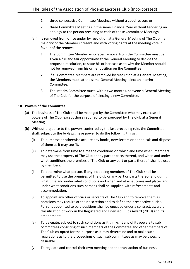- 1. three consecutive Committee Meetings without a good reason; or
- 2. three Committee Meetings in the same Financial Year without tendering an apology to the person presiding at each of those Committee Meetings,
- (vii) Is removed from office under by resolution at a General Meeting of The Club if a majority of the Members present and with voting rights at the meeting vote in favour of the removal.
	- 1. The Committee Member who faces removal from the Committee must be given a full and fair opportunity at the General Meeting to decide the proposed resolution, to state his or her case as to why the Member should not be removed from his or her position on the Committee.
	- 2. If all Committee Members are removed by resolution at a General Meeting, the Members must, at the same General Meeting, elect an interim Committee.
	- 3. The interim Committee must, within two months, convene a General Meeting of The Club for the purpose of electing a new Committee.

#### <span id="page-14-0"></span>**18. Powers of the Committee**

- (a) The business of The Club shall be managed by the Committee who may exercise all powers of The Club, except those required to be exercised by The Club at a General Meeting.
- (b) Without prejudice to the powers conferred by the last preceding rule, the Committee shall, subject to the by-laws, have power to do the following things:
	- (i) To purchase or otherwise acquire any books, newsletters or periodicals and dispose of them as it may see fit.
	- (ii) To determine from time to time the conditions on which and time when, members may use the property of The Club or any part or parts thereof, and when and under what conditions the premises of The Club or any part or parts thereof, shall be used by members.
	- (iii) To determine what person, if any, not being members of The Club shall be permitted to use the premises of The Club or any part or parts thereof and during what time and under what conditions and when and at what times and places and under what conditions such persons shall be supplied with refreshments and accommodation.
	- (iv) To appoint any other officials or servants of The Club and to remove them as occasions may require at their discretion and to define their respective duties. Persons appointed to paid positions shall be engaged under a contract, award or classification of work in the Registered and Licensed Clubs Award (2010) and its amendments.
	- (v) To delegate, subject to such conditions as it thinks fit any of its powers to sub committees consisting of such members of the Committee and other members of The Club co-opted for the purpose as it may determine and to make such regulations as to the proceedings of such sub committees as may be thought desirable.
	- (vi) To regulate and control their own meeting and the transaction of business.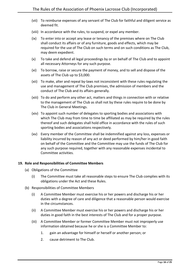- (vii) To reimburse expenses of any servant of The Club for faithful and diligent service as deemed fit.
- (viii) In accordance with the rules, to suspend, or expel any member.
- (ix) To enter into or accept any lease or tenancy of the premises where on The Club shall conduct its affairs or of any furniture, goods and effects, which may be required for the use of The Club on such terms and on such conditions as The Club, may deem expedient.
- (x) To take and defend all legal proceedings by or on behalf of The Club and to appoint all necessary Attorneys for any such purpose.
- (xi) To borrow, raise or secure the payment of money, and to sell and dispose of the assets of The Club up to \$3,000.
- <span id="page-15-1"></span>(xii) To make, alter and repeal by-laws not inconsistent with these rules regulating the use and management of The Club premises, the admission of members and the conduct of The Club and its affairs generally.
- (xiii) To do and perform any other act, matters and things in connection with or relative to the management of The Club as shall not by these rules require to be done by The Club in General Meetings.
- (xiv) To appoint such number of delegates to sporting bodies and associations with which The Club may from time to time be affiliated as may be required by the rules thereof and such delegates shall hold office in accordance with the rules of such sporting bodies and associations respectively.
- (xv) Every member of the Committee shall be indemnified against any loss, expenses or liability incurred by reason of any act or deed performed by him/her in good faith on behalf of the Committee and the Committee may use the funds of The Club for any such purpose required, together with any reasonable expenses incidental to Committee activities.

#### <span id="page-15-0"></span>**19. Role and Responsibilities of Committee Members**

- (a) Obligations of the Committee
	- (i) The Committee must take all reasonable steps to ensure The Club complies with its obligations under the Act and these Rules.
- (b) Responsibilities of Committee Members
	- (i) A Committee Member must exercise his or her powers and discharge his or her duties with a degree of care and diligence that a reasonable person would exercise in the circumstances.
	- (ii) A Committee Member must exercise his or her powers and discharge his or her duties in good faith in the best interests of The Club and for a proper purpose.
	- (iii) A Committee Member or former Committee Member must not improperly use information obtained because he or she is a Committee Member to:
		- 1. gain an advantage for himself or herself or another person; or
		- 2. cause detriment to The Club.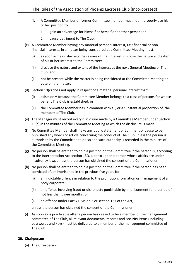- (iv) A Committee Member or former Committee member must not improperly use his or her position to:
	- 1. gain an advantage for himself or herself or another person; or
	- 2. cause detriment to The Club.
- <span id="page-16-2"></span>(c) A Committee Member having any material personal interest, i.e.: financial or nonfinancial interests, in a matter being considered at a Committee Meeting must:
	- (i) as soon as he or she becomes aware of that interest, disclose the nature and extent of his or her interest to the Committee;
	- (ii) disclose the nature and extent of the interest at the next General Meeting of The Club; and
	- (iii) not be present while the matter is being considered at the Committee Meeting or vote on the matter.
- (d) Section 1[9\(c\)](#page-16-2) does not apply in respect of a material personal interest that:
	- (i) exists only because the Committee Member belongs to a class of persons for whose benefit The Club is established; or
	- (ii) the Committee Member has in common with all, or a substantial proportion of, the members of The Club.
- (e) The Manager must record every disclosure made by a Committee Member under Section 1[9\(c\)](#page-16-2) in the minutes of the Committee Meeting at which the disclosure is made.
- (f) No Committee Member shall make any public statement or comment or cause to be published any words or article concerning the conduct of The Club unless the person is authorised by the Committee to do so and such authority is recorded in the minutes of the Committee Meeting.
- <span id="page-16-1"></span>(g) No person shall be entitled to hold a position on the Committee if the person is, according to the Interpretation Act section 13D, a bankrupt or a person whose affairs are under insolvency laws unless the person has obtained the consent of the Commissioner.
- (h) No person shall be entitled to hold a position on the Committee if the person has been convicted of, or imprisoned in the previous five years for:
	- (i) an indictable offence in relation to the promotion, formation or management of a body corporate;
	- (ii) an offence involving fraud or dishonesty punishable by imprisonment for a period of not less than three months; or
	- (iii) an offence under Part 4 Division 3 or section 127 of the Act;

unless the person has obtained the consent of the Commissioner.

(i) As soon as is practicable after a person has ceased to be a member of the management committee of The Club, all relevant documents, records and security items (including passwords and keys) must be delivered to a member of the management committee of The Club.

#### <span id="page-16-0"></span>**20. Chairperson**

(a) The Chairperson: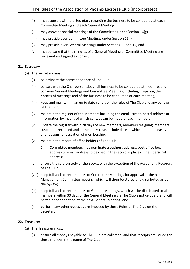- (i) must consult with the Secretary regarding the business to be conducted at each Committee Meeting and each General Meeting
- (ii) may convene special meetings of the Committee under Section [16\(g\)](#page-12-2)
- (iii) may preside over Committee Meetings under Sectio[n 16\(l\)](#page-13-1)
- (iv) may preside over General Meetings under Sections [11](#page-8-2) and [12;](#page-9-0) and
- (v) must ensure that the minutes of a General Meeting or Committee Meeting are reviewed and signed as correct

#### <span id="page-17-0"></span>**21. Secretary**

- (a) The Secretary must:
	- (i) co-ordinate the correspondence of The Club;
	- (ii) consult with the Chairperson about all business to be conducted at meetings and convene General Meetings and Committee Meetings, including preparing the notices of meetings and of the business to be conducted at each meeting;
	- (iii) keep and maintain in an up to date condition the rules of The Club and any by-laws of The Club;
	- (iv) maintain the register of the Members including the email, street, postal address or information by means of which contact can be made of each member;
	- (v) update the register within 28 days of new members, members resigning, members suspended/expelled and in the latter case, include date in which member ceases and reasons for cessation of membership.
	- (vi) maintain the record of office holders of The Club.
		- 1. Committee members may nominate a business address, post office box address or email address to be used in the record in place of their personal address;
	- (vii) ensure the safe custody of the Books, with the exception of the Accounting Records, of The Club;
	- (viii) keep full and correct minutes of Committee Meetings for approval at the next Management Committee meeting, which will then be stored and distributed as per the by-law;
	- (ix) keep full and correct minutes of General Meetings, which will be distributed to all members within 30 days of the General Meeting via The Club's notice board and will be tabled for adoption at the next General Meeting; and
	- (x) perform any other duties as are imposed by these Rules or The Club on the Secretary.

#### <span id="page-17-1"></span>**22. Treasurer**

- <span id="page-17-2"></span>(a) The Treasurer must:
	- (i) ensure all moneys payable to The Club are collected, and that receipts are issued for those moneys in the name of The Club;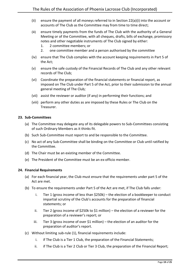- (ii) ensure the payment of all moneys referred to in Section 22(a[\)\(i\)](#page-17-2) into the account or accounts of The Club as the Committee may from time to time direct;
- (iii) ensure timely payments from the funds of The Club with the authority of a General Meeting or of the Committee, with all cheques, drafts, bills of exchange, promissory notes and other negotiable instruments of The Club signed by either:
	- 1. 2 committee members; or
	- 2. one committee member and a person authorised by the committee
- (iv) ensure that The Club complies with the account keeping requirements in Part 5 of the Act;
- (v) ensure the safe custody of the Financial Records of The Club and any other relevant records of The Club;
- (vi) Coordinate the preparation of the financial statements or financial report, as imposed on The Club under Part 5 of the Act, prior to their submission to the annual general meeting of The Club*;*
- (vii) assist the reviewer or auditor (if any) in performing their functions; and
- (viii) perform any other duties as are imposed by these Rules or The Club on the Treasurer.

#### <span id="page-18-0"></span>**23. Sub-Committees**

- (a) The Committee may delegate any of its delegable powers to Sub-Committees consisting of such Ordinary Members as it thinks fit.
- (b) Such Sub-Committee must report to and be responsible to the Committee.
- (c) No act of any Sub-Committee shall be binding on the Committee or Club until ratified by the Committee.
- (d) The Chair must be an existing member of the Committee.
- (e) The President of the Committee must be an ex-officio member.

#### <span id="page-18-1"></span>**24. Financial Requirements**

- (a) For each financial year, the Club must ensure that the requirements under part 5 of the Act are met.
- (b) To ensure the requirements under Part 5 of the Act are met, if The Club falls under:
	- i. Tier 1 (gross income of less than \$250k) the election of a bookkeeper to conduct impartial scrutiny of the Club's accounts for the preparation of financial statements; or
	- ii. Tier 2 (gross income of \$250k to \$1 million) the election of a reviewer for the preparation of a reviewer's report; or
	- iii. Tier 3 (gross income of over \$1 million) the election of an auditor for the preparation of auditor's report.
- (c) Without limiting sub-rule (1), financial requirements include:
	- i. if The Club is a Tier 1 Club, the preparation of the Financial Statements;
	- ii. if The Club is a Tier 2 Club or Tier 3 Club, the preparation of the Financial Report;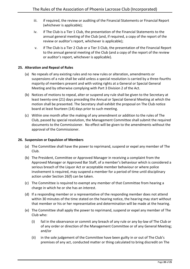- iii. if required, the review or auditing of the Financial Statements or Financial Report (whichever is applicable);
- iv. if The Club is a Tier 1 Club, the presentation of the Financial Statements to the annual general meeting of the Club (and, if required, a copy of the report of the review or auditor's report, whichever is applicable);
- v. if The Club is a Tier 2 Club or a Tier 3 Club, the presentation of the Financial Report to the annual general meeting of the Club (and a copy of the report of the review or auditor's report, whichever is applicable).

#### <span id="page-19-0"></span>**25. Alteration and Repeal of Rules**

- (a) No repeals of any existing rules and no new rules or alteration, amendments or suspensions of a rule shall be valid unless a special resolution is carried by a three-fourths majority of members present and with voting rights at a General or Special General Meeting and by otherwise complying with Part 3 Division 2 of the Act.
- (b) Notices of motions to repeal, alter or suspend any rule shall be given to the Secretary at least twenty-one (21) days preceding the Annual or Special General Meeting at which the motion shall be presented. The Secretary shall exhibit the proposal on The Club notice board at least fourteen (14) days prior to such meeting.
- (c) Within one month after the making of any amendment or addition to the rules of The Club, passed by special resolution, the Management Committee shall submit the required documents to the Commissioner. No effect will be given to the amendments without the approval of the Commissioner.

#### <span id="page-19-1"></span>**26. Suspension or Expulsion of Members**

- (a) The Committee shall have the power to reprimand, suspend or expel any member of The Club.
- (b) The President, Committee or Approved Manager in receiving a complaint from the Approved Manager or Approved Bar Staff, of a member's behaviour which is considered a serious breach of the Liquor Act or acceptable member behaviour or where police involvement is required, may suspend a member for a period of time until disciplinary action under Section 2[6\(f\)](#page-20-1) can be taken.
- (c) The Committee is required to exempt any member of that Committee from hearing a charge in which he or she has an interest.
- (d) If a responding member or a representative of the responding member does not attend within 30 minutes of the time stated on the hearing notice, the hearing may start without that member or his or her representative and determination will be made at the hearing.
- (e) The Committee shall apply the power to reprimand, suspend or expel any member of The Club who:
	- (i) fail in the observance or commit any breach of any rule or any by-law of The Club or of any order or direction of the Management Committee or of any General Meeting; and/or
	- (ii) in the sole judgement of the Committee have been guilty in or out of The Club's premises of any act, conducted matter or thing calculated to bring discredit on The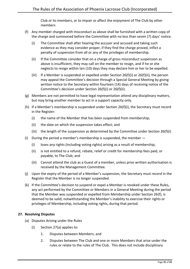Club or its members, or to impair or affect the enjoyment of The Club by other members

- <span id="page-20-3"></span><span id="page-20-2"></span><span id="page-20-1"></span>(f) Any member charged with misconduct as above shall be furnished with a written copy of the charge and summoned before the Committee with no less than seven (7) days' notice.
	- (i) The Committee shall after hearing the accuser and accused and taking such evidence as they may consider proper, if they find the charge proved, inflict a penalty of suspension from all or any of the privileges of membership.
	- (ii) If the Committee consider that on a charge of gross misconduct suspension as above is insufficient, they may call on the member to resign, and if he or she neglects to resign within ten (10) days they may declare him or her to be expelled.
	- (iii) If a Member is suspended or expelled under Section 26(f[\)\(i\)](#page-20-2) or 26(f[\)\(ii\),](#page-20-3) the person may appeal the Committee's decision through a Special General Meeting by giving written notice to the Secretary within fourteen (14) days of receiving notice of the Committee's decision under Section 26(f)[\(i\)](#page-20-2) or 26(f)(ii).
- (g) Members are not permitted to have legal representation attend any disciplinary matters, but may bring another member to act in a support capacity only.
- (h) If a Member's membership is suspended under Section 26(f)(i), the Secretary must record in the Register:
	- (i) the name of the Member that has been suspended from membership;
	- (ii) the date on which the suspension takes effect; and
	- (iii) the length of the suspension as determined by the Committee under Section 26 $(f)(i)$
- (i) During the period a member's membership is suspended, the member
	- (i) loses any rights (including voting rights) arising as a result of membership;
	- (ii) is not entitled to a refund, rebate, relief or credit for membership fees paid, or payable, to The Club; and
	- (iii) Cannot attend the club as a Guest of a member, unless prior written authorisation is received by the Management Committee.
- (j) Upon the expiry of the period of a Member's suspension, the Secretary must record in the Register that the Member is no longer suspended.
- (k) If the Committee's decision to suspend or expel a Member is revoked under these Rules, any act performed by the Committee or Members in a General Meeting during the period that the Member was suspended or expelled from Membership under Section 2[6\(f\),](#page-20-1) is deemed to be valid, notwithstanding the Member's inability to exercise their rights or privileges of Membership, including voting rights, during that period.

#### <span id="page-20-4"></span><span id="page-20-0"></span>**27. Resolving Disputes**

- (a) Disputes Arising under the Rules
	- (i) Section 2[7\(a\)](#page-20-4) applies to:
		- 1. Disputes between Members; and
		- 2. Disputes between The Club and one or more Members that arise under the rules or relate to the rules of The Club. This does not include disciplinary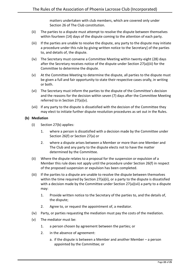matters undertaken with club members, which are covered only under Section [26](#page-19-1) of The Club constitution.

- <span id="page-21-3"></span>(ii) The parties to a dispute must attempt to resolve the dispute between themselves within fourteen (14) days of the dispute coming to the attention of each party.
- <span id="page-21-0"></span>(iii) If the parties are unable to resolve the dispute, any party to the dispute may initiate a procedure under this rule by giving written notice to the Secretary] of the parties to, and details of, the dispute.
- (iv) The Secretary must convene a Committee Meeting within twenty-eight (28) days after the Secretary receives notice of the dispute under Section 27(a[\)\(iii\)](#page-21-0) for the Committee to determine the dispute.
- <span id="page-21-1"></span>(v) At the Committee Meeting to determine the dispute, all parties to the dispute must be given a full and fair opportunity to state their respective cases orally, in writing or both.
- (vi) The Secretary must inform the parties to the dispute of the Committee's decision and the reasons for the decision within seven (7) days after the Committee Meeting referred to in Section 27(a[\)\(v\).](#page-21-1)
- (vii) If any party to the dispute is dissatisfied with the decision of the Committee they may elect to initiate further dispute resolution procedures as set out in the Rules.

#### <span id="page-21-4"></span><span id="page-21-2"></span>**(b) Mediation**

- (i) Section 2[7\(b\)](#page-21-2) applies:
	- 1. where a person is dissatisfied with a decision made by the Committee under Section [26\(f\)](#page-20-1) or Section 2[7\(a\)](#page-20-4) or
	- 2. where a dispute arises between a Member or more than one Member and The Club and any party to the dispute elects not to have the matter determined by the Committee.
- (ii) Where the dispute relates to a proposal for the suspension or expulsion of a Member this rule does not apply until the procedure under Section 26(f) in respect of the proposed suspension or expulsion has been completed.
- (iii) If the parties to a dispute are unable to resolve the dispute between themselves within the time required by Section 2[7\(a\)\(ii\),](#page-21-3) or a party to the dispute is dissatisfied with a decision made by the Committee under Section 2[7\(a\)\(vii\)](#page-21-4) a party to a dispute may:
	- 1. Provide written notice to the Secretary of the parties to, and the details of, the dispute;
	- 2. Agree to, or request the appointment of, a mediator.
- (iv) Party, or parties requesting the mediation must pay the costs of the mediation.
- (v) The mediator must be:
	- 1. a person chosen by agreement between the parties; or
	- 2. in the absence of agreement:
		- a. if the dispute is between a Member and another Member a person appointed by the Committee; or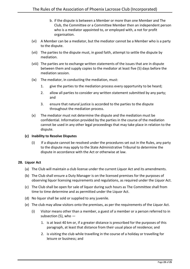- b. if the dispute is between a Member or more than one Member and The Club, the Committee or a Committee Member then an independent person who is a mediator appointed to, or employed with, a not for profit organisation.
- (vi) A Member can be a mediator, but the mediator cannot be a Member who is a party to the dispute.
- (vii) The parties to the dispute must, in good faith, attempt to settle the dispute by mediation.
- (viii) The parties are to exchange written statements of the issues that are in dispute between them and supply copies to the mediator at least five (5) days before the mediation session.
- (ix) The mediator, in conducting the mediation, must:
	- 1. give the parties to the mediation process every opportunity to be heard;
	- 2. allow all parties to consider any written statement submitted by any party; and
	- 3. ensure that natural justice is accorded to the parties to the dispute throughout the mediation process.
- (x) The mediator must not determine the dispute and the mediation must be confidential. Information provided by the parties in the course of the mediation cannot be used in any other legal proceedings that may take place in relation to the dispute.

#### **(c) Inability to Resolve Disputes**

(i) If a dispute cannot be resolved under the procedures set out in the Rules, any party to the dispute may apply to the State Administrative Tribunal to determine the dispute in accordance with the Act or otherwise at law.

#### <span id="page-22-0"></span>**28. Liquor Act**

- (a) The Club will maintain a club license under the current Liquor Act and its amendments.
- (b) The Club shall ensure a Duty Manager is on the licensed premises for the purposes of observing liquor licensing requirements and regulations, as required under the Liquor Act.
- (c) The Club shall be open for sale of liquor during such hours as The Committee shall from time to time determine and as permitted under the Liquor Act.
- (d) No liquor shall be sold or supplied to any juvenile.
- (e) The club may allow visitors onto the premises, as per the requirements of the Liquor Act.
	- (i) Visitor means other than a member, a guest of a member or a person referred to in subsection  $(5)$ , who  $-$ 
		- 1. is at least 40 km or, if a greater distance is prescribed for the purposes of this paragraph, at least that distance from their usual place of residence; and
		- 2. is visiting the club while travelling in the course of a holiday or travelling for leisure or business; and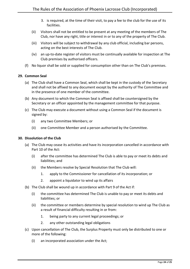- 3. is required, at the time of their visit, to pay a fee to the club for the use of its facilities.
- (ii) Visitors shall not be entitled to be present at any meeting of the members of The Club, nor have any right, title or interest in or to any of the property of The Club.
- (iii) Visitors will be subject to withdrawal by any club official, including bar persons, acting on the best interests of The Club.
- (iv) an up-to-date register of visitors must be continually available for inspection at The Club premises by authorised officers.
- (f) No liquor shall be sold or supplied for consumption other than on The Club's premises.

#### <span id="page-23-0"></span>**29. Common Seal**

- (a) The Club shall have a Common Seal, which shall be kept in the custody of the Secretary and shall not be affixed to any document except by the authority of The Committee and in the presence of one member of the committee.
- (b) Any document to which the Common Seal is affixed shall be countersigned by the Secretary or an officer appointed by the management committee for that purpose.
- (c) The Club may execute a document without using a Common Seal if the document is signed by:
	- (i) any two Committee Members; or
	- (ii) one Committee Member and a person authorised by the Committee.

#### <span id="page-23-1"></span>**30. Dissolution of the Club**

- (a) The Club may cease its activities and have its incorporation cancelled in accordance with Part 10 of the Act:
	- (i) after the committee has determined The Club is able to pay or meet its debts and liabilities; and
	- (ii) the Members resolve by Special Resolution that The Club will:
		- 1. apply to the Commissioner for cancellation of its incorporation; or
		- 2. appoint a liquidator to wind up its affairs
- (b) The Club shall be wound up in accordance with Part 9 of the Act if:
	- (i) the committee has determined The Club is unable to pay or meet its debts and liabilities; or
	- (ii) the committee or members determine by special resolution to wind up The Club as a result of financial difficulty resulting in or from:
		- 1. being party to any current legal proceedings; or
		- 2. any other outstanding legal obligations
- (c) Upon cancellation of The Club, the Surplus Property must only be distributed to one or more of the following:
	- (i) an incorporated association under the Act;